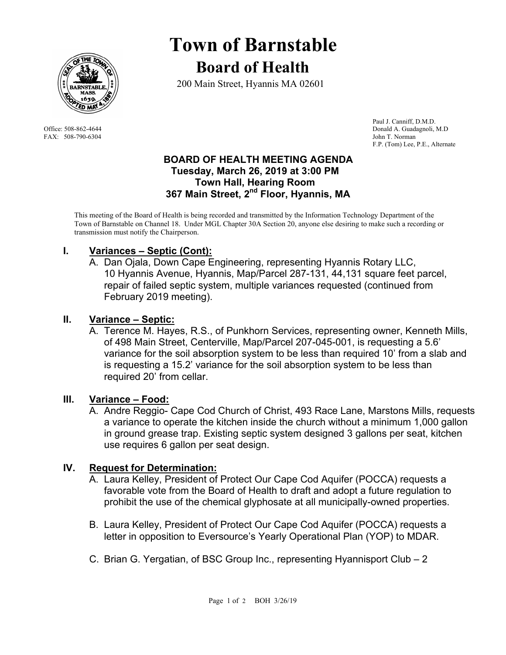

FAX: 508-790-6304 John T. Norman

# **Town of Barnstable Board of Health**

200 Main Street, Hyannis MA 02601

 Paul J. Canniff, D.M.D. Office: 508-862-4644 Donald A. Guadagnoli, M.D F.P. (Tom) Lee, P.E., Alternate

#### **BOARD OF HEALTH MEETING AGENDA Tuesday, March 26, 2019 at 3:00 PM Town Hall, Hearing Room 367 Main Street, 2nd Floor, Hyannis, MA**

This meeting of the Board of Health is being recorded and transmitted by the Information Technology Department of the Town of Barnstable on Channel 18. Under MGL Chapter 30A Section 20, anyone else desiring to make such a recording or transmission must notify the Chairperson.

## **I. Variances – Septic (Cont):**

A. Dan Ojala, Down Cape Engineering, representing Hyannis Rotary LLC, 10 Hyannis Avenue, Hyannis, Map/Parcel 287-131, 44,131 square feet parcel, repair of failed septic system, multiple variances requested (continued from February 2019 meeting).

## **II. Variance – Septic:**

A. Terence M. Hayes, R.S., of Punkhorn Services, representing owner, Kenneth Mills, of 498 Main Street, Centerville, Map/Parcel 207-045-001, is requesting a 5.6' variance for the soil absorption system to be less than required 10' from a slab and is requesting a 15.2' variance for the soil absorption system to be less than required 20' from cellar.

#### **III. Variance – Food:**

A. Andre Reggio- Cape Cod Church of Christ, 493 Race Lane, Marstons Mills, requests a variance to operate the kitchen inside the church without a minimum 1,000 gallon in ground grease trap. Existing septic system designed 3 gallons per seat, kitchen use requires 6 gallon per seat design.

## **IV. Request for Determination:**

- A. Laura Kelley, President of Protect Our Cape Cod Aquifer (POCCA) requests a favorable vote from the Board of Health to draft and adopt a future regulation to prohibit the use of the chemical glyphosate at all municipally-owned properties.
- B. Laura Kelley, President of Protect Our Cape Cod Aquifer (POCCA) requests a letter in opposition to Eversource's Yearly Operational Plan (YOP) to MDAR.
- C. Brian G. Yergatian, of BSC Group Inc., representing Hyannisport Club 2